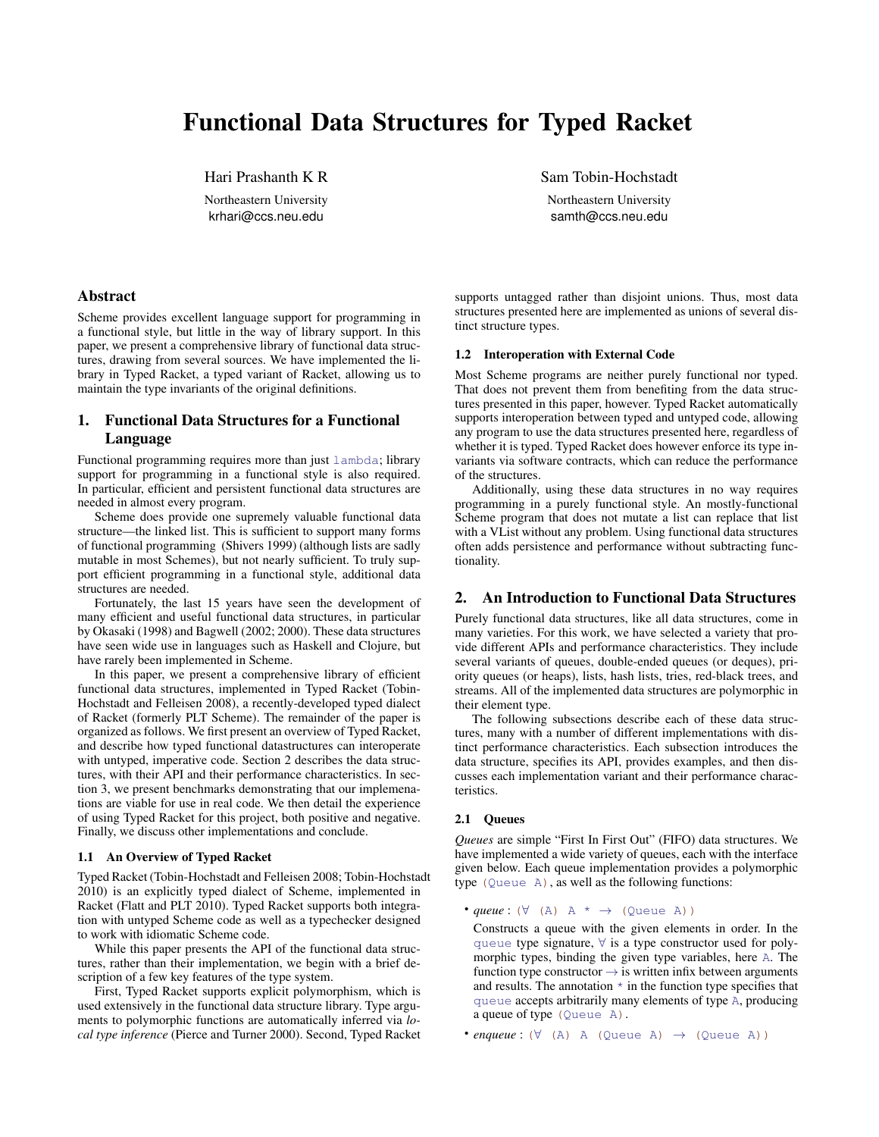# Functional Data Structures for Typed Racket

Hari Prashanth K R

Northeastern University krhari@ccs.neu.edu

## Abstract

Scheme provides excellent language support for programming in a functional style, but little in the way of library support. In this paper, we present a comprehensive library of functional data structures, drawing from several sources. We have implemented the library in Typed Racket, a typed variant of Racket, allowing us to maintain the type invariants of the original definitions.

## 1. Functional Data Structures for a Functional Language

Functional programming requires more than just lambda; library support for programming in a functional style is also required. In particular, efficient and persistent functional data structures are needed in almost every program.

Scheme does provide one supremely valuable functional data structure—the linked list. This is sufficient to support many forms of functional programming (Shivers 1999) (although lists are sadly mutable in most Schemes), but not nearly sufficient. To truly support efficient programming in a functional style, additional data structures are needed.

Fortunately, the last 15 years have seen the development of many efficient and useful functional data structures, in particular by Okasaki (1998) and Bagwell (2002; 2000). These data structures have seen wide use in languages such as Haskell and Clojure, but have rarely been implemented in Scheme.

In this paper, we present a comprehensive library of efficient functional data structures, implemented in Typed Racket (Tobin-Hochstadt and Felleisen 2008), a recently-developed typed dialect of Racket (formerly PLT Scheme). The remainder of the paper is organized as follows. We first present an overview of Typed Racket, and describe how typed functional datastructures can interoperate with untyped, imperative code. Section 2 describes the data structures, with their API and their performance characteristics. In section 3, we present benchmarks demonstrating that our implemenations are viable for use in real code. We then detail the experience of using Typed Racket for this project, both positive and negative. Finally, we discuss other implementations and conclude.

#### 1.1 An Overview of Typed Racket

Typed Racket (Tobin-Hochstadt and Felleisen 2008; Tobin-Hochstadt 2010) is an explicitly typed dialect of Scheme, implemented in Racket (Flatt and PLT 2010). Typed Racket supports both integration with untyped Scheme code as well as a typechecker designed to work with idiomatic Scheme code.

While this paper presents the API of the functional data structures, rather than their implementation, we begin with a brief description of a few key features of the type system.

First, Typed Racket supports explicit polymorphism, which is used extensively in the functional data structure library. Type arguments to polymorphic functions are automatically inferred via *local type inference* (Pierce and Turner 2000). Second, Typed Racket Sam Tobin-Hochstadt

Northeastern University samth@ccs.neu.edu

supports untagged rather than disjoint unions. Thus, most data structures presented here are implemented as unions of several distinct structure types.

#### 1.2 Interoperation with External Code

Most Scheme programs are neither purely functional nor typed. That does not prevent them from benefiting from the data structures presented in this paper, however. Typed Racket automatically supports interoperation between typed and untyped code, allowing any program to use the data structures presented here, regardless of whether it is typed. Typed Racket does however enforce its type invariants via software contracts, which can reduce the performance of the structures.

Additionally, using these data structures in no way requires programming in a purely functional style. An mostly-functional Scheme program that does not mutate a list can replace that list with a VList without any problem. Using functional data structures often adds persistence and performance without subtracting functionality.

## 2. An Introduction to Functional Data Structures

Purely functional data structures, like all data structures, come in many varieties. For this work, we have selected a variety that provide different APIs and performance characteristics. They include several variants of queues, double-ended queues (or deques), priority queues (or heaps), lists, hash lists, tries, red-black trees, and streams. All of the implemented data structures are polymorphic in their element type.

The following subsections describe each of these data structures, many with a number of different implementations with distinct performance characteristics. Each subsection introduces the data structure, specifies its API, provides examples, and then discusses each implementation variant and their performance characteristics.

#### 2.1 Queues

*Queues* are simple "First In First Out" (FIFO) data structures. We have implemented a wide variety of queues, each with the interface given below. Each queue implementation provides a polymorphic type (Queue A), as well as the following functions:

• *queue* : (∀ (A) A \* → (Queue A))

Constructs a queue with the given elements in order. In the queue type signature,  $\forall$  is a type constructor used for polymorphic types, binding the given type variables, here A. The function type constructor  $\rightarrow$  is written infix between arguments and results. The annotation  $*$  in the function type specifies that queue accepts arbitrarily many elements of type A, producing a queue of type (Queue A).

• *enqueue* : (∀ (A) A (Queue A) → (Queue A))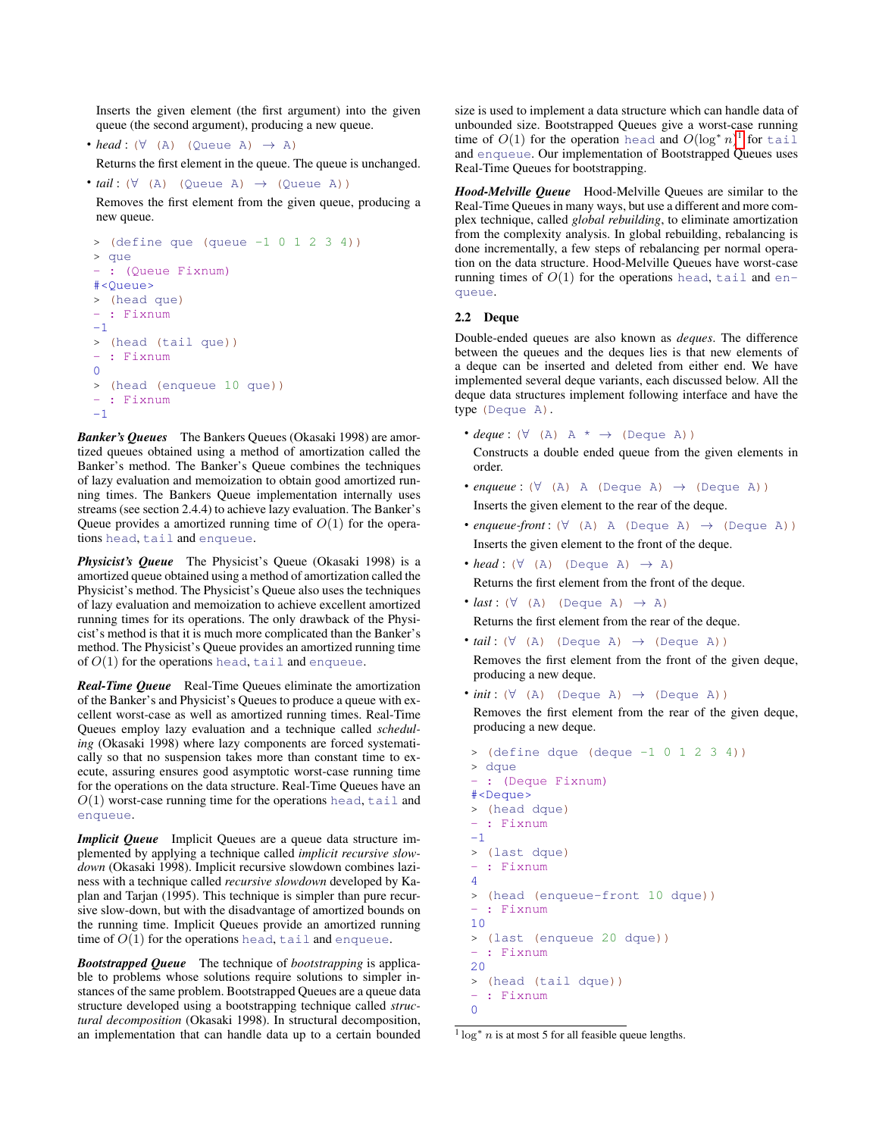Inserts the given element (the first argument) into the given queue (the second argument), producing a new queue.

- $head: (\forall \land)$  (Queue A)  $\rightarrow$  A)
- Returns the first element in the queue. The queue is unchanged.
- $\bullet$  *tail* : ( $\forall$  (A) (Queue A)  $\rightarrow$  (Queue A))

Removes the first element from the given queue, producing a new queue.

```
> (define que (queue -1 0 1 2 3 4))
> que
- : (Queue Fixnum)
#<Queue>
> (head que)
- : Fixnum
-1> (head (tail que))
 - : Fixnum
\Omega> (head (enqueue 10 que))
- : Fixnum
-1
```
*Banker's Queues* The Bankers Queues (Okasaki 1998) are amortized queues obtained using a method of amortization called the Banker's method. The Banker's Queue combines the techniques of lazy evaluation and memoization to obtain good amortized running times. The Bankers Queue implementation internally uses streams (see section 2.4.4) to achieve lazy evaluation. The Banker's Queue provides a amortized running time of  $O(1)$  for the operations head, tail and enqueue.

*Physicist's Queue* The Physicist's Queue (Okasaki 1998) is a amortized queue obtained using a method of amortization called the Physicist's method. The Physicist's Queue also uses the techniques of lazy evaluation and memoization to achieve excellent amortized running times for its operations. The only drawback of the Physicist's method is that it is much more complicated than the Banker's method. The Physicist's Queue provides an amortized running time of  $O(1)$  for the operations head, tail and enqueue.

*Real-Time Queue* Real-Time Queues eliminate the amortization of the Banker's and Physicist's Queues to produce a queue with excellent worst-case as well as amortized running times. Real-Time Queues employ lazy evaluation and a technique called *scheduling* (Okasaki 1998) where lazy components are forced systematically so that no suspension takes more than constant time to execute, assuring ensures good asymptotic worst-case running time for the operations on the data structure. Real-Time Queues have an  $O(1)$  worst-case running time for the operations head, tail and enqueue.

*Implicit Queue* Implicit Queues are a queue data structure implemented by applying a technique called *implicit recursive slowdown* (Okasaki 1998). Implicit recursive slowdown combines laziness with a technique called *recursive slowdown* developed by Kaplan and Tarjan (1995). This technique is simpler than pure recursive slow-down, but with the disadvantage of amortized bounds on the running time. Implicit Queues provide an amortized running time of  $O(1)$  for the operations head, tail and enqueue.

*Bootstrapped Queue* The technique of *bootstrapping* is applicable to problems whose solutions require solutions to simpler instances of the same problem. Bootstrapped Queues are a queue data structure developed using a bootstrapping technique called *structural decomposition* (Okasaki 1998). In structural decomposition, an implementation that can handle data up to a certain bounded size is used to implement a data structure which can handle data of unbounded size. Bootstrapped Queues give a worst-case running time of  $O(1)$  $O(1)$  $O(1)$  for the operation head and  $O(\log^* n)^1$  for tail and enqueue. Our implementation of Bootstrapped Queues uses Real-Time Queues for bootstrapping.

*Hood-Melville Queue* Hood-Melville Queues are similar to the Real-Time Queues in many ways, but use a different and more complex technique, called *global rebuilding*, to eliminate amortization from the complexity analysis. In global rebuilding, rebalancing is done incrementally, a few steps of rebalancing per normal operation on the data structure. Hood-Melville Queues have worst-case running times of  $O(1)$  for the operations head, tail and enqueue.

#### 2.2 Deque

order.

Double-ended queues are also known as *deques*. The difference between the queues and the deques lies is that new elements of a deque can be inserted and deleted from either end. We have implemented several deque variants, each discussed below. All the deque data structures implement following interface and have the type (Deque A).

- $degree: (\forall (A) A * \rightarrow (degree A))$ Constructs a double ended queue from the given elements in
- $\bullet$  *enqueue*:  $(\forall$  (A) A (Deque A)  $\rightarrow$  (Deque A)) Inserts the given element to the rear of the deque.
- *enqueue-front* : (∀ (A) A (Deque A) → (Deque A)) Inserts the given element to the front of the deque.
- *head* :  $(\forall (A)$  (Deque A)  $\rightarrow$  A) Returns the first element from the front of the deque.
- *last* :  $(\forall \ (A)$  (Deque A)  $\rightarrow$  A) Returns the first element from the rear of the deque.
- *tail* : (∀ (A) (Deque A) → (Deque A)) Removes the first element from the front of the given deque, producing a new deque.
- $\bullet$  *init* : ( $\forall$  (A) (Deque A)  $\rightarrow$  (Deque A))

Removes the first element from the rear of the given deque, producing a new deque.

 $>$  (define dque (deque  $-1$  0 1 2 3 4)) > dque - : (Deque Fixnum) #<Deque> > (head dque) - : Fixnum -1 > (last dque) - : Fixnum 4 > (head (enqueue-front 10 dque)) - : Fixnum 10 > (last (enqueue 20 dque)) - : Fixnum 20 > (head (tail dque)) - : Fixnum 0

<span id="page-1-0"></span> $1 \log^* n$  is at most 5 for all feasible queue lengths.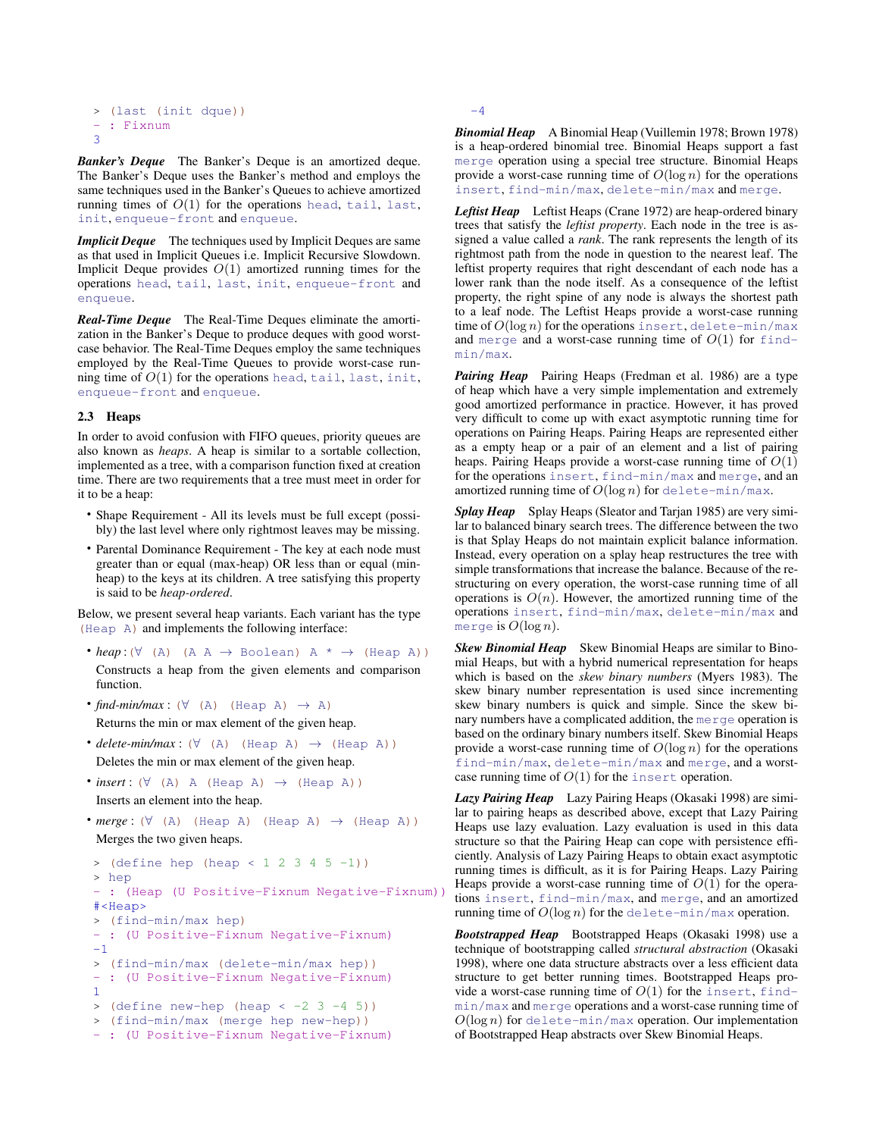```
> (last (init dque))
- : Fixnum
3
```
*Banker's Deque* The Banker's Deque is an amortized deque. The Banker's Deque uses the Banker's method and employs the same techniques used in the Banker's Queues to achieve amortized running times of  $O(1)$  for the operations head, tail, last, init, enqueue-front and enqueue.

*Implicit Deque* The techniques used by Implicit Deques are same as that used in Implicit Queues i.e. Implicit Recursive Slowdown. Implicit Deque provides  $O(1)$  amortized running times for the operations head, tail, last, init, enqueue-front and enqueue.

*Real-Time Deque* The Real-Time Deques eliminate the amortization in the Banker's Deque to produce deques with good worstcase behavior. The Real-Time Deques employ the same techniques employed by the Real-Time Queues to provide worst-case running time of  $O(1)$  for the operations head, tail, last, init, enqueue-front and enqueue.

#### 2.3 Heaps

In order to avoid confusion with FIFO queues, priority queues are also known as *heaps*. A heap is similar to a sortable collection, implemented as a tree, with a comparison function fixed at creation time. There are two requirements that a tree must meet in order for it to be a heap:

- Shape Requirement All its levels must be full except (possibly) the last level where only rightmost leaves may be missing.
- Parental Dominance Requirement The key at each node must greater than or equal (max-heap) OR less than or equal (minheap) to the keys at its children. A tree satisfying this property is said to be *heap-ordered*.

Below, we present several heap variants. Each variant has the type (Heap A) and implements the following interface:

- *heap* :(∀ (A) (A A → Boolean) A \* → (Heap A)) Constructs a heap from the given elements and comparison function.
- $find-min/max: (\forall (A) (Heap A) \rightarrow A)$ Returns the min or max element of the given heap.
- *delete-min/max* :  $(\forall (\mathbb{A}) (\mathbb{H}eap \mathbb{A}) \rightarrow (\mathbb{H}eap \mathbb{A}))$ Deletes the min or max element of the given heap.
- $\bullet$  *insert* : ( $\forall$  (A) A (Heap A)  $\rightarrow$  (Heap A)) Inserts an element into the heap.
- $\bullet$  *merge* : ( $\forall$  (A) (Heap A) (Heap A)  $\rightarrow$  (Heap A)) Merges the two given heaps.

```
> (define hep (heap < 1 2 3 4 5 -1))
> hep
- : (Heap (U Positive-Fixnum Negative-Fixnum))
#<Heap>
> (find-min/max hep)
- : (U Positive-Fixnum Negative-Fixnum)
-1
> (find-min/max (delete-min/max hep))
 - : (U Positive-Fixnum Negative-Fixnum)
1
> (define new-hep (heap < -2 3 -4 5))
> (find-min/max (merge hep new-hep))
- : (U Positive-Fixnum Negative-Fixnum)
```
-4

*Binomial Heap* A Binomial Heap (Vuillemin 1978; Brown 1978) is a heap-ordered binomial tree. Binomial Heaps support a fast merge operation using a special tree structure. Binomial Heaps provide a worst-case running time of  $O(\log n)$  for the operations insert, find-min/max, delete-min/max and merge.

*Leftist Heap* Leftist Heaps (Crane 1972) are heap-ordered binary trees that satisfy the *leftist property*. Each node in the tree is assigned a value called a *rank*. The rank represents the length of its rightmost path from the node in question to the nearest leaf. The leftist property requires that right descendant of each node has a lower rank than the node itself. As a consequence of the leftist property, the right spine of any node is always the shortest path to a leaf node. The Leftist Heaps provide a worst-case running time of  $O(\log n)$  for the operations insert, delete-min/max and merge and a worst-case running time of  $O(1)$  for findmin/max.

*Pairing Heap* Pairing Heaps (Fredman et al. 1986) are a type of heap which have a very simple implementation and extremely good amortized performance in practice. However, it has proved very difficult to come up with exact asymptotic running time for operations on Pairing Heaps. Pairing Heaps are represented either as a empty heap or a pair of an element and a list of pairing heaps. Pairing Heaps provide a worst-case running time of  $O(1)$ for the operations insert, find-min/max and merge, and an amortized running time of  $O(\log n)$  for delete-min/max.

*Splay Heap* Splay Heaps (Sleator and Tarjan 1985) are very similar to balanced binary search trees. The difference between the two is that Splay Heaps do not maintain explicit balance information. Instead, every operation on a splay heap restructures the tree with simple transformations that increase the balance. Because of the restructuring on every operation, the worst-case running time of all operations is  $O(n)$ . However, the amortized running time of the operations insert, find-min/max, delete-min/max and merge is  $O(\log n)$ .

*Skew Binomial Heap* Skew Binomial Heaps are similar to Binomial Heaps, but with a hybrid numerical representation for heaps which is based on the *skew binary numbers* (Myers 1983). The skew binary number representation is used since incrementing skew binary numbers is quick and simple. Since the skew binary numbers have a complicated addition, the merge operation is based on the ordinary binary numbers itself. Skew Binomial Heaps provide a worst-case running time of  $O(\log n)$  for the operations find-min/max, delete-min/max and merge, and a worstcase running time of  $O(1)$  for the insert operation.

*Lazy Pairing Heap* Lazy Pairing Heaps (Okasaki 1998) are similar to pairing heaps as described above, except that Lazy Pairing Heaps use lazy evaluation. Lazy evaluation is used in this data structure so that the Pairing Heap can cope with persistence efficiently. Analysis of Lazy Pairing Heaps to obtain exact asymptotic running times is difficult, as it is for Pairing Heaps. Lazy Pairing Heaps provide a worst-case running time of  $O(1)$  for the operations insert, find-min/max, and merge, and an amortized running time of  $O(\log n)$  for the delete-min/max operation.

*Bootstrapped Heap* Bootstrapped Heaps (Okasaki 1998) use a technique of bootstrapping called *structural abstraction* (Okasaki 1998), where one data structure abstracts over a less efficient data structure to get better running times. Bootstrapped Heaps provide a worst-case running time of  $O(1)$  for the insert, findmin/max and merge operations and a worst-case running time of  $O(\log n)$  for delete-min/max operation. Our implementation of Bootstrapped Heap abstracts over Skew Binomial Heaps.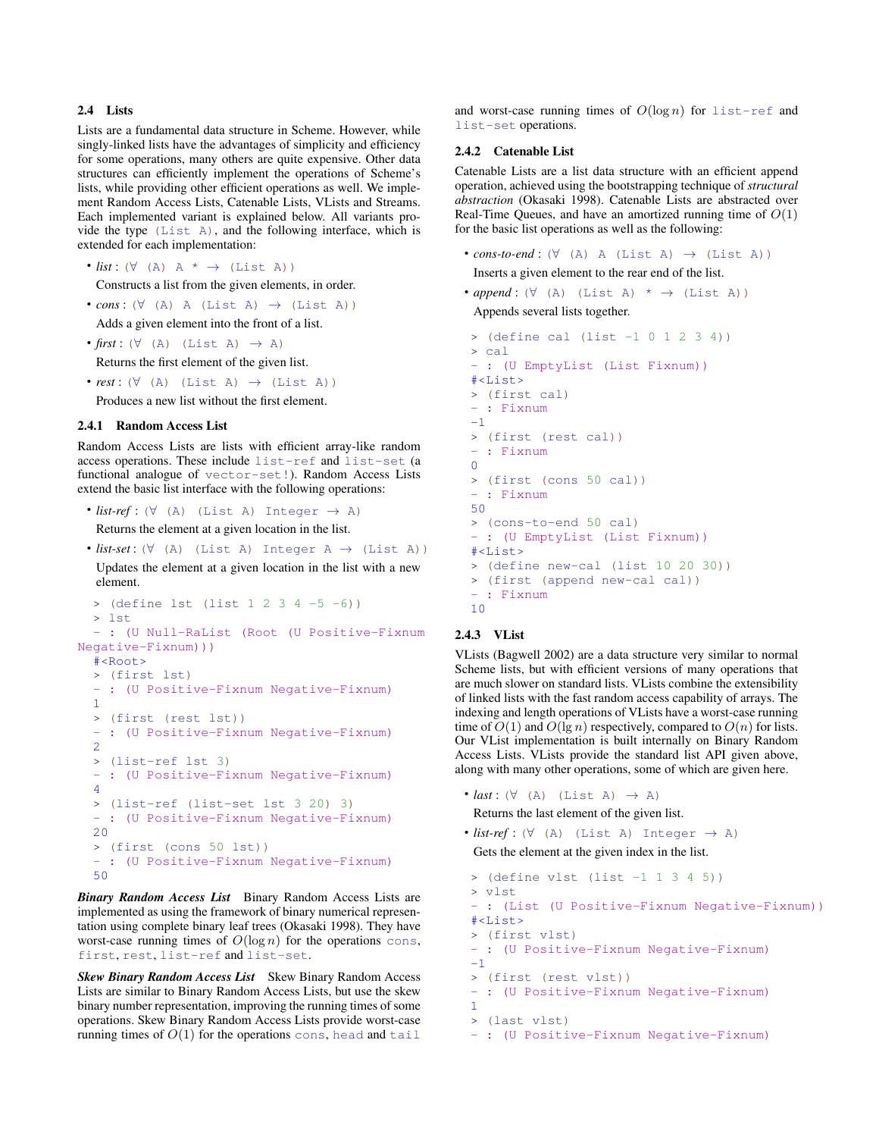## 2.4 Lists

Lists are a fundamental data structure in Scheme. However, while singly-linked lists have the advantages of simplicity and efficiency for some operations, many others are quite expensive. Other data structures can efficiently implement the operations of Scheme's lists, while providing other efficient operations as well. We implement Random Access Lists, Catenable Lists, VLists and Streams. Each implemented variant is explained below. All variants provide the type (List A), and the following interface, which is extended for each implementation:

• *list* : (∀ (A) A \* → (List A))

Constructs a list from the given elements, in order.

- *cons* : (∀ (A) A (List A) → (List A)) Adds a given element into the front of a list.
- $first: (\forall (A) (List A) \rightarrow A)$ Returns the first element of the given list.
- $rest: (\forall (A) (List A) \rightarrow (List A))$

Produces a new list without the first element.

#### 2.4.1 Random Access List

Random Access Lists are lists with efficient array-like random access operations. These include list-ref and list-set (a functional analogue of vector-set!). Random Access Lists extend the basic list interface with the following operations:

```
• list-ref : (∀ (A) (List A) Integer → A)
```
Returns the element at a given location in the list.

• *list-set* : (∀ (A) (List A) Integer A → (List A)) Updates the element at a given location in the list with a new element.

```
> (define lst (list 1 2 3 4 -5 -6))
  > lst
  - : (U Null-RaList (Root (U Positive-Fixnum
Negative-Fixnum)))
  \#<Root>
  > (first lst)
  - : (U Positive-Fixnum Negative-Fixnum)
  1
  > (first (rest lst))
  - : (U Positive-Fixnum Negative-Fixnum)
  2
  > (list-ref lst 3)
  - : (U Positive-Fixnum Negative-Fixnum)
  \Delta> (list-ref (list-set lst 3 20) 3)
  - : (U Positive-Fixnum Negative-Fixnum)
  20
  > (first (cons 50 lst))
  - : (U Positive-Fixnum Negative-Fixnum)
  50
```
*Binary Random Access List* Binary Random Access Lists are implemented as using the framework of binary numerical representation using complete binary leaf trees (Okasaki 1998). They have worst-case running times of  $O(\log n)$  for the operations cons, first, rest, list-ref and list-set.

*Skew Binary Random Access List* Skew Binary Random Access Lists are similar to Binary Random Access Lists, but use the skew binary number representation, improving the running times of some operations. Skew Binary Random Access Lists provide worst-case running times of  $O(1)$  for the operations cons, head and tail

and worst-case running times of  $O(\log n)$  for list-ref and list-set operations.

#### 2.4.2 Catenable List

Catenable Lists are a list data structure with an efficient append operation, achieved using the bootstrapping technique of *structural abstraction* (Okasaki 1998). Catenable Lists are abstracted over Real-Time Queues, and have an amortized running time of  $O(1)$ for the basic list operations as well as the following:

- *cons-to-end* : (∀ (A) A (List A) → (List A))
	- Inserts a given element to the rear end of the list.
- *append* :  $(\forall (\mathbb{A}) (\mathbb{L}\text{ist A}) * \rightarrow (\mathbb{L}\text{ist A}))$ Appends several lists together.

```
> (define cal (list -1 0 1 2 3 4))
> cal
- : (U EmptyList (List Fixnum))
#<List>
> (first cal)
- : Fixnum
-1
> (first (rest cal))
 - : Fixnum
\Omega> (first (cons 50 cal))
- : Fixnum
50
> (cons-to-end 50 cal)
- : (U EmptyList (List Fixnum))
#<List>
> (define new-cal (list 10 20 30))
> (first (append new-cal cal))
- : Fixnum
10
```
#### 2.4.3 VList

VLists (Bagwell 2002) are a data structure very similar to normal Scheme lists, but with efficient versions of many operations that are much slower on standard lists. VLists combine the extensibility of linked lists with the fast random access capability of arrays. The indexing and length operations of VLists have a worst-case running time of  $O(1)$  and  $O(\lg n)$  respectively, compared to  $O(n)$  for lists. Our VList implementation is built internally on Binary Random Access Lists. VLists provide the standard list API given above, along with many other operations, some of which are given here.

• *last* : (∀ (A) (List A) → A)

Returns the last element of the given list.

• *list-ref* : (∀ (A) (List A) Integer → A) Gets the element at the given index in the list.

```
> (define vlst (list -1 1 3 4 5))
> vlst
- : (List (U Positive-Fixnum Negative-Fixnum))
#<List>
> (first vlst)
- : (U Positive-Fixnum Negative-Fixnum)
-1
> (first (rest vlst))
- : (U Positive-Fixnum Negative-Fixnum)
1
> (last vlst)
- : (U Positive-Fixnum Negative-Fixnum)
```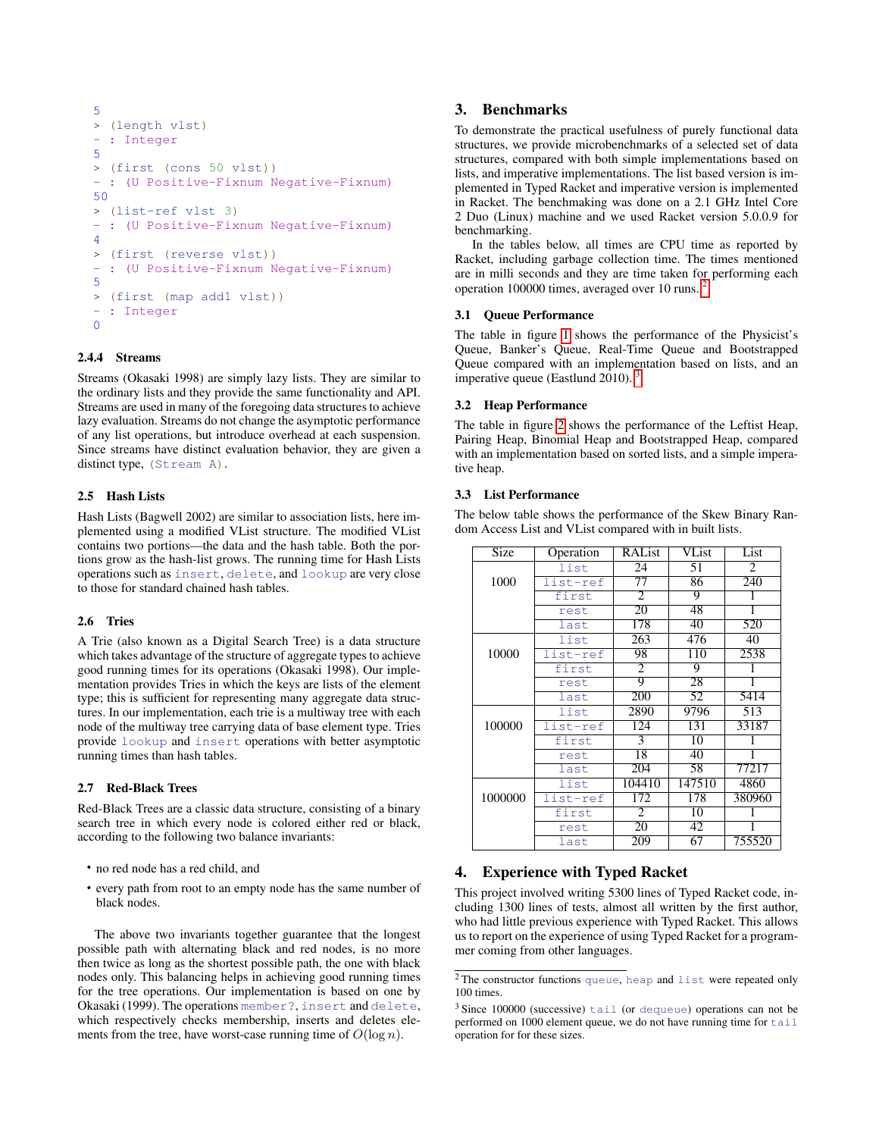```
5
> (length vlst)
- : Integer
5
> (first (cons 50 vlst))
 : (U Positive-Fixnum Negative-Fixnum)
50
> (list-ref vlst 3)
- : (U Positive-Fixnum Negative-Fixnum)
4
> (first (reverse vlst))
- : (U Positive-Fixnum Negative-Fixnum)
5
> (first (map add1 vlst))
 : Integer
\Omega
```
## 2.4.4 Streams

Streams (Okasaki 1998) are simply lazy lists. They are similar to the ordinary lists and they provide the same functionality and API. Streams are used in many of the foregoing data structures to achieve lazy evaluation. Streams do not change the asymptotic performance of any list operations, but introduce overhead at each suspension. Since streams have distinct evaluation behavior, they are given a distinct type, (Stream A).

## 2.5 Hash Lists

Hash Lists (Bagwell 2002) are similar to association lists, here implemented using a modified VList structure. The modified VList contains two portions—the data and the hash table. Both the portions grow as the hash-list grows. The running time for Hash Lists operations such as insert, delete, and lookup are very close to those for standard chained hash tables.

#### 2.6 Tries

A Trie (also known as a Digital Search Tree) is a data structure which takes advantage of the structure of aggregate types to achieve good running times for its operations (Okasaki 1998). Our implementation provides Tries in which the keys are lists of the element type; this is sufficient for representing many aggregate data structures. In our implementation, each trie is a multiway tree with each node of the multiway tree carrying data of base element type. Tries provide lookup and insert operations with better asymptotic running times than hash tables.

## 2.7 Red-Black Trees

Red-Black Trees are a classic data structure, consisting of a binary search tree in which every node is colored either red or black, according to the following two balance invariants:

- no red node has a red child, and
- every path from root to an empty node has the same number of black nodes.

The above two invariants together guarantee that the longest possible path with alternating black and red nodes, is no more then twice as long as the shortest possible path, the one with black nodes only. This balancing helps in achieving good running times for the tree operations. Our implementation is based on one by Okasaki (1999). The operations member?, insert and delete, which respectively checks membership, inserts and deletes elements from the tree, have worst-case running time of  $O(\log n)$ .

## 3. Benchmarks

To demonstrate the practical usefulness of purely functional data structures, we provide microbenchmarks of a selected set of data structures, compared with both simple implementations based on lists, and imperative implementations. The list based version is implemented in Typed Racket and imperative version is implemented in Racket. The benchmaking was done on a 2.1 GHz Intel Core 2 Duo (Linux) machine and we used Racket version 5.0.0.9 for benchmarking.

In the tables below, all times are CPU time as reported by Racket, including garbage collection time. The times mentioned are in milli seconds and they are time taken for performing each operation 100000 times, averaged over 10 runs. [2](#page-4-0)

## 3.1 Queue Performance

The table in figure [1](#page-5-0) shows the performance of the Physicist's Queue, Banker's Queue, Real-Time Queue and Bootstrapped Queue compared with an implementation based on lists, and an imperative queue (Eastlund 2010).  $\frac{3}{2}$  $\frac{3}{2}$  $\frac{3}{2}$ 

#### 3.2 Heap Performance

The table in figure [2](#page-5-1) shows the performance of the Leftist Heap, Pairing Heap, Binomial Heap and Bootstrapped Heap, compared with an implementation based on sorted lists, and a simple imperative heap.

#### 3.3 List Performance

The below table shows the performance of the Skew Binary Random Access List and VList compared with in built lists.

| Size    | Operation | RAList          | VList          | List           |
|---------|-----------|-----------------|----------------|----------------|
|         | list      | 24              | 51             | $\overline{2}$ |
| 1000    | list-ref  | 77              | 86             | 240            |
|         | first     | $\overline{2}$  | 9              | 1              |
|         | rest      | $\overline{20}$ | 48             | 1              |
|         | last      | 178             | 40             | 520            |
|         | list      | 263             | 476            | 40             |
| 10000   | list-ref  | 98              | 110            | 2538           |
|         | first     | $\overline{2}$  | $\overline{9}$ | 1              |
|         | rest      | 9               | 28             | 1              |
|         | last      | 200             | 52             | 5414           |
|         | list      | 2890            | 9796           | 513            |
| 100000  | list-ref  | 124             | 131            | 33187          |
|         | first     | $\overline{3}$  | 10             |                |
|         | rest      | 18              | 40             |                |
|         | last      | 204             | 58             | 77217          |
|         | list      | 104410          | 147510         | 4860           |
| 1000000 | list-ref  | 172             | 178            | 380960         |
|         | first     | $\overline{2}$  | 10             |                |
|         | rest      | 20              | 42             |                |
|         | last      | 209             | 67             | 755520         |

## 4. Experience with Typed Racket

This project involved writing 5300 lines of Typed Racket code, including 1300 lines of tests, almost all written by the first author, who had little previous experience with Typed Racket. This allows us to report on the experience of using Typed Racket for a programmer coming from other languages.

<span id="page-4-0"></span><sup>&</sup>lt;sup>2</sup> The constructor functions queue, heap and list were repeated only 100 times.

<span id="page-4-1"></span><sup>3</sup> Since 100000 (successive) tail (or dequeue) operations can not be performed on 1000 element queue, we do not have running time for tail operation for for these sizes.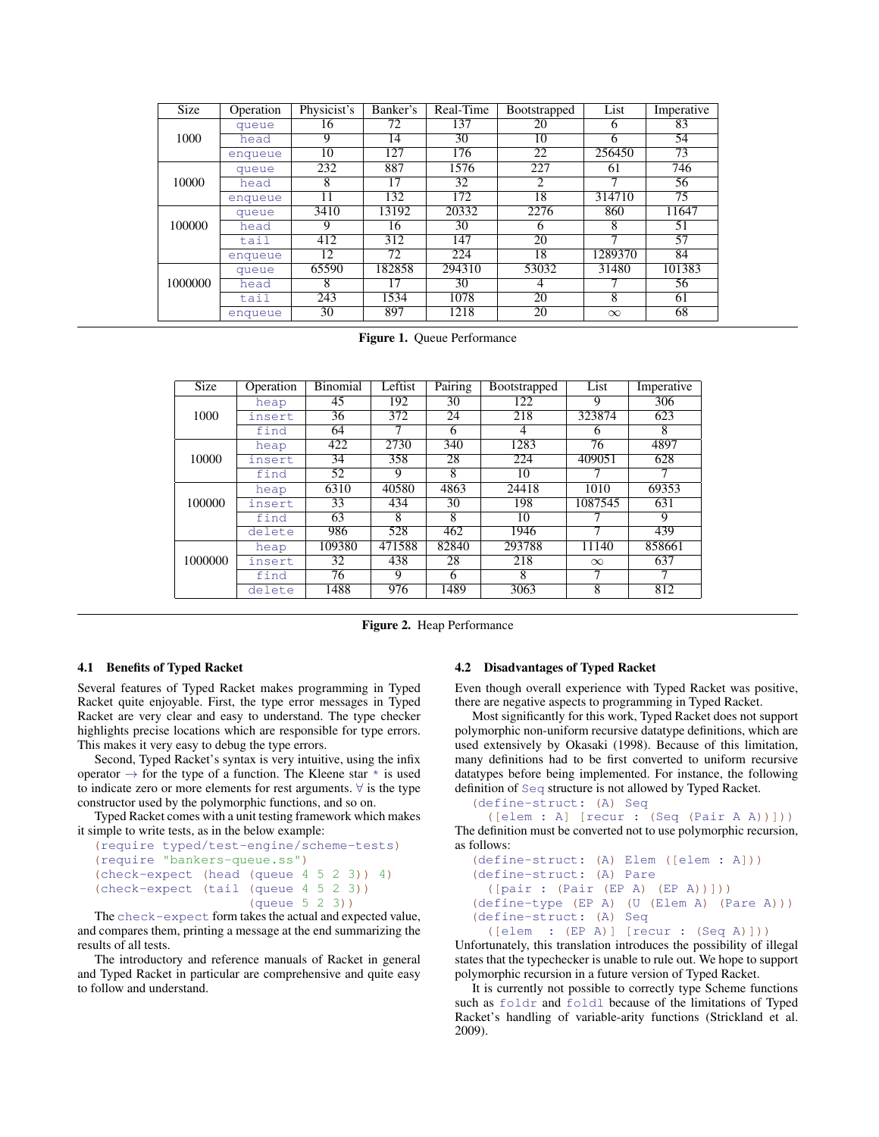| <b>Size</b> | Operation | Physicist's | Banker's | Real-Time | Bootstrapped | List         | Imperative |
|-------------|-----------|-------------|----------|-----------|--------------|--------------|------------|
|             | queue     | 16          | 72       | 137       | 20           | <sub>6</sub> | 83         |
| 1000        | head      | 9           | 14       | 30        | 10           | 6            | 54         |
|             | enqueue   | 10          | 127      | 176       | 22           | 256450       | 73         |
|             | queue     | 232         | 887      | 1576      | 227          | 61           | 746        |
| 10000       | head      | 8           | 17       | 32        | 2            |              | 56         |
|             | enqueue   | 11          | 132      | 172       | 18           | 314710       | 75         |
|             | queue     | 3410        | 13192    | 20332     | 2276         | 860          | 11647      |
| 100000      | head      | 9           | 16       | 30        | <sub>6</sub> | 8            | 51         |
|             | tail      | 412         | 312      | 147       | 20           | 7            | 57         |
|             | enqueue   | 12          | 72       | 224       | 18           | 1289370      | 84         |
|             | queue     | 65590       | 182858   | 294310    | 53032        | 31480        | 101383     |
| 1000000     | head      | 8           | 17       | 30        | 4            |              | 56         |
|             | tail      | 243         | 1534     | 1078      | 20           | 8            | 61         |
|             | enqueue   | 30          | 897      | 1218      | 20           | $\infty$     | 68         |

<span id="page-5-0"></span>Figure 1. Queue Performance

| <b>Size</b> | Operation | Binomial | Leftist | Pairing | Bootstrapped | List         | Imperative |
|-------------|-----------|----------|---------|---------|--------------|--------------|------------|
|             | heap      | 45       | 192     | 30      | 122          | 9            | 306        |
| 1000        | insert    | 36       | 372     | 24      | 218          | 323874       | 623        |
|             | find      | 64       |         | 6       | 4            | <sub>6</sub> | 8          |
|             | heap      | 422      | 2730    | 340     | 1283         | 76           | 4897       |
| 10000       | insert    | 34       | 358     | 28      | 224          | 409051       | 628        |
|             | find      | 52       | 9       | 8       | 10           |              |            |
|             | heap      | 6310     | 40580   | 4863    | 24418        | 1010         | 69353      |
| 100000      | insert    | 33       | 434     | 30      | 198          | 1087545      | 631        |
|             | find      | 63       | 8       | 8       | 10           |              | 9          |
|             | delete    | 986      | 528     | 462     | 1946         |              | 439        |
|             | heap      | 109380   | 471588  | 82840   | 293788       | 11140        | 858661     |
| 1000000     | insert    | 32       | 438     | 28      | 218          | $\infty$     | 637        |
|             | find      | 76       | 9       | 6       | 8            |              |            |
|             | delete    | 1488     | 976     | 1489    | 3063         | 8            | 812        |

<span id="page-5-1"></span>Figure 2. Heap Performance

#### 4.1 Benefits of Typed Racket

Several features of Typed Racket makes programming in Typed Racket quite enjoyable. First, the type error messages in Typed Racket are very clear and easy to understand. The type checker highlights precise locations which are responsible for type errors. This makes it very easy to debug the type errors.

Second, Typed Racket's syntax is very intuitive, using the infix operator  $\rightarrow$  for the type of a function. The Kleene star  $*$  is used to indicate zero or more elements for rest arguments. ∀ is the type constructor used by the polymorphic functions, and so on.

Typed Racket comes with a unit testing framework which makes it simple to write tests, as in the below example:

```
(require typed/test-engine/scheme-tests)
(require "bankers-queue.ss")
(check-expect (head (queue 4 5 2 3)) 4)
(check-expect (tail (queue 4 5 2 3))
                    (queue 5 2 3))
```
The check-expect form takes the actual and expected value, and compares them, printing a message at the end summarizing the results of all tests.

The introductory and reference manuals of Racket in general and Typed Racket in particular are comprehensive and quite easy to follow and understand.

#### 4.2 Disadvantages of Typed Racket

Even though overall experience with Typed Racket was positive, there are negative aspects to programming in Typed Racket.

Most significantly for this work, Typed Racket does not support polymorphic non-uniform recursive datatype definitions, which are used extensively by Okasaki (1998). Because of this limitation, many definitions had to be first converted to uniform recursive datatypes before being implemented. For instance, the following definition of Seq structure is not allowed by Typed Racket.

```
(define-struct: (A) Seq
```
([elem : A] [recur : (Seq (Pair A A))])) The definition must be converted not to use polymorphic recursion, as follows:

```
(define-struct: (A) Elem ([elem : A]))
(define-struct: (A) Pare
  ([pair : (Pair (EP A) (EP A))]))
(define-type (EP A) (U (Elem A) (Pare A)))
(define-struct: (A) Seq
```
([elem : (EP A)] [recur : (Seq A)])) Unfortunately, this translation introduces the possibility of illegal states that the typechecker is unable to rule out. We hope to support polymorphic recursion in a future version of Typed Racket.

It is currently not possible to correctly type Scheme functions such as foldr and foldl because of the limitations of Typed Racket's handling of variable-arity functions (Strickland et al. 2009).